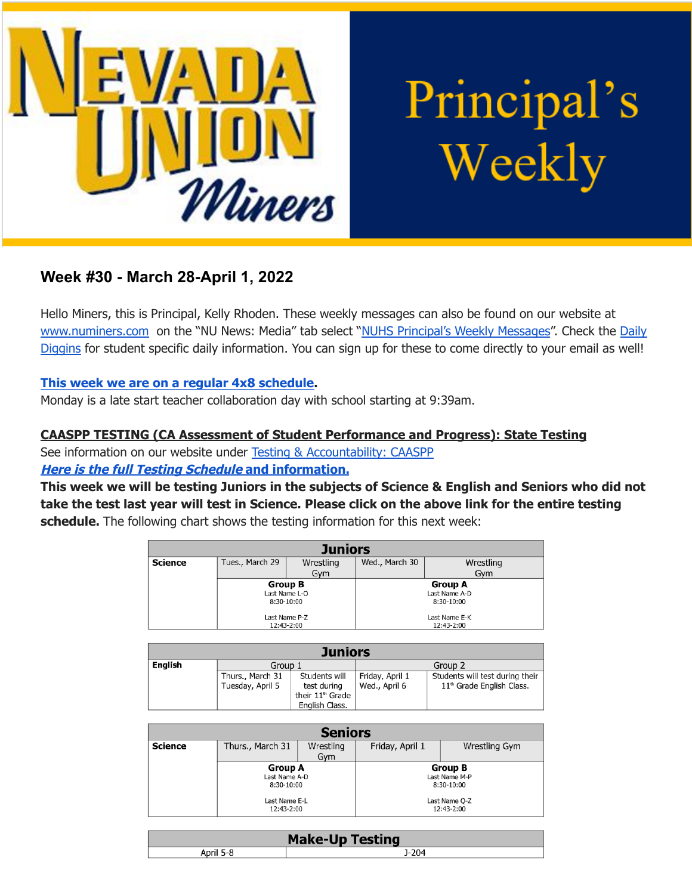

Principal's Weekly

# **Week #30 - March 28-April 1, 2022**

Hello Miners, this is Principal, Kelly Rhoden. These weekly messages can also be found on our website at [www.numiners.com](http://www.numiners.com) on the "NU News: Media" tab select "NUHS [Principal's](https://nevadaunion.njuhsd.com/NU-NewsMedia/NUHS-Principals-Weekly-Messages/index.html) Weekly Messages". Check the [Daily](https://nevadaunion.njuhsd.com/NU-NewsMedia/Daily-Diggins-Bulletin/index.html) [Diggins](https://nevadaunion.njuhsd.com/NU-NewsMedia/Daily-Diggins-Bulletin/index.html) for student specific daily information. You can sign up for these to come directly to your email as well!

#### **This week we are on a regular 4x8 [schedule.](https://nevadaunion.njuhsd.com/documents/Bell%20Schedules/Bell-Schedule-2021-2022-NUHS-4x8.pdf)**

Monday is a late start teacher collaboration day with school starting at 9:39am.

#### **CAASPP TESTING (CA Assessment of Student Performance and Progress): State Testing**

See information on our website under Testing & [Accountability:](https://nevadaunion.njuhsd.com/About-Us/Testing--Accountability/Junior-CAASPP--Senior-CAST-Test-Information/index.html) CAASPP **Here is the full Testing Schedule and [information.](https://nevadaunion.njuhsd.com/About-Us/Testing--Accountability/Junior-CAASPP--Senior-CAST-Test-Information/index.html)**

This week we will be testing Juniors in the subjects of Science & English and Seniors who did not take the test last year will test in Science. Please click on the above link for the entire testing **schedule.** The following chart shows the testing information for this next week:

| <b>Juniors</b> |                 |            |                |            |  |
|----------------|-----------------|------------|----------------|------------|--|
| <b>Science</b> | Tues., March 29 | Wrestling  | Wed., March 30 | Wrestling  |  |
|                |                 | Gvm        |                | Gvm        |  |
|                | <b>Group B</b>  |            | <b>Group A</b> |            |  |
|                | Last Name L-O   |            | Last Name A-D  |            |  |
|                | 8:30-10:00      |            | 8:30-10:00     |            |  |
|                | Last Name P-Z   |            | Last Name E-K  |            |  |
|                |                 | 12:43-2:00 |                | 12:43-2:00 |  |

| <b>Juniors</b> |                  |                              |                 |                                       |
|----------------|------------------|------------------------------|-----------------|---------------------------------------|
| English        | Group 1          |                              | Group 2         |                                       |
|                | Thurs., March 31 | Students will                | Friday, April 1 | Students will test during their       |
|                | Tuesday, April 5 | test during                  | Wed., April 6   | 11 <sup>th</sup> Grade English Class. |
|                |                  | their 11 <sup>th</sup> Grade |                 |                                       |
|                |                  | English Class.               |                 |                                       |

| <b>Seniors</b> |                                                                              |                  |                                                                              |               |
|----------------|------------------------------------------------------------------------------|------------------|------------------------------------------------------------------------------|---------------|
| <b>Science</b> | Thurs., March 31                                                             | Wrestling<br>Gym | Friday, April 1                                                              | Wrestling Gym |
|                | <b>Group A</b><br>Last Name A-D<br>8:30-10:00<br>Last Name E-L<br>12:43-2:00 |                  | <b>Group B</b><br>Last Name M-P<br>8:30-10:00<br>Last Name Q-Z<br>12:43-2:00 |               |

| sting<br>. .<br>$ -$ |  |  |
|----------------------|--|--|
|                      |  |  |
|                      |  |  |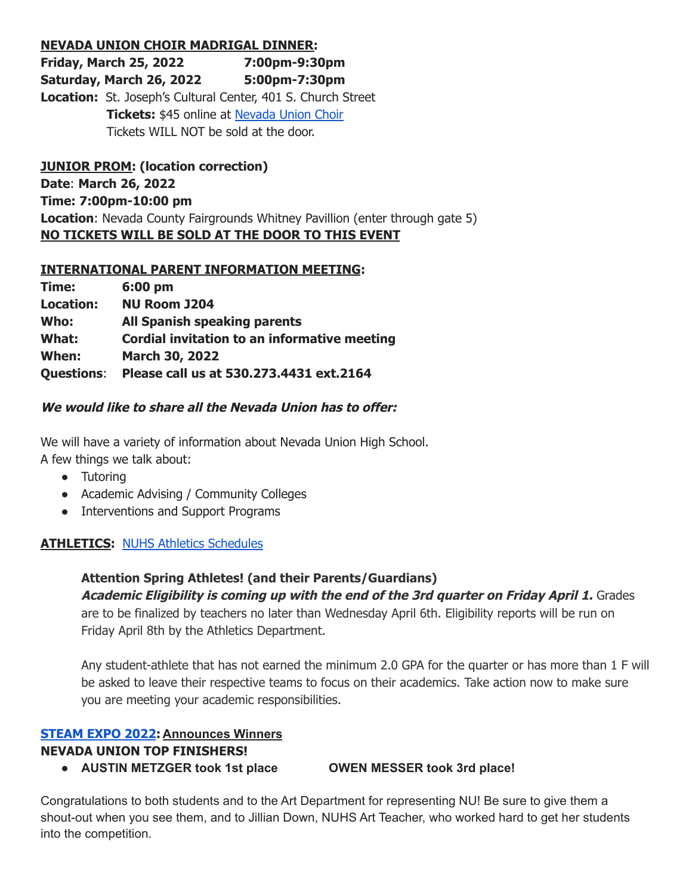#### **NEVADA UNION CHOIR MADRIGAL DINNER:**

**Friday, March 25, 2022 7:00pm-9:30pm Saturday, March 26, 2022 5:00pm-7:30pm Location:** St. Joseph's Cultural Center, 401 S. Church Street **Tickets:** \$45 online at [Nevada](http://www.nuchoir.org/) Union Choir Tickets WILL NOT be sold at the door.

**JUNIOR PROM: (location correction) Date**: **March 26, 2022 Time: 7:00pm-10:00 pm Location**: Nevada County Fairgrounds Whitney Pavillion (enter through gate 5) **NO TICKETS WILL BE SOLD AT THE DOOR TO THIS EVENT**

#### **INTERNATIONAL PARENT INFORMATION MEETING:**

| Time:             | 6:00 pm                                      |
|-------------------|----------------------------------------------|
| Location:         | <b>NU Room J204</b>                          |
| Who:              | <b>All Spanish speaking parents</b>          |
| What:             | Cordial invitation to an informative meeting |
| When:             | March 30, 2022                               |
| <b>Questions:</b> | Please call us at 530.273.4431 ext.2164      |

#### **We would like to share all the Nevada Union has to offer:**

We will have a variety of information about Nevada Union High School.

A few things we talk about:

- Tutoring
- Academic Advising / Community Colleges
- Interventions and Support Programs

#### **ATHLETICS:** NUHS Athletics [Schedules](https://nevadaunion.njuhsd.com/Athletics/Sports-Calendar--Schedules/index.html)

# **Attention Spring Athletes! (and their Parents/Guardians)**

**Academic Eligibility is coming up with the end of the 3rd quarter on Friday April 1.** Grades are to be finalized by teachers no later than Wednesday April 6th. Eligibility reports will be run on Friday April 8th by the Athletics Department.

Any student-athlete that has not earned the minimum 2.0 GPA for the quarter or has more than 1 F will be asked to leave their respective teams to focus on their academics. Take action now to make sure you are meeting your academic responsibilities.

# **[STEAM](https://docs.google.com/presentation/d/1XCJczWcbGpFG-Xgx1ptZ7UeCf7z3KMKHM2c0CumZYsw/edit?usp=sharing) EXPO 2022: Announces Winners**

**NEVADA UNION TOP FINISHERS!**

**● AUSTIN METZGER took 1st place OWEN MESSER took 3rd place!**

Congratulations to both students and to the Art Department for representing NU! Be sure to give them a shout-out when you see them, and to Jillian Down, NUHS Art Teacher, who worked hard to get her students into the competition.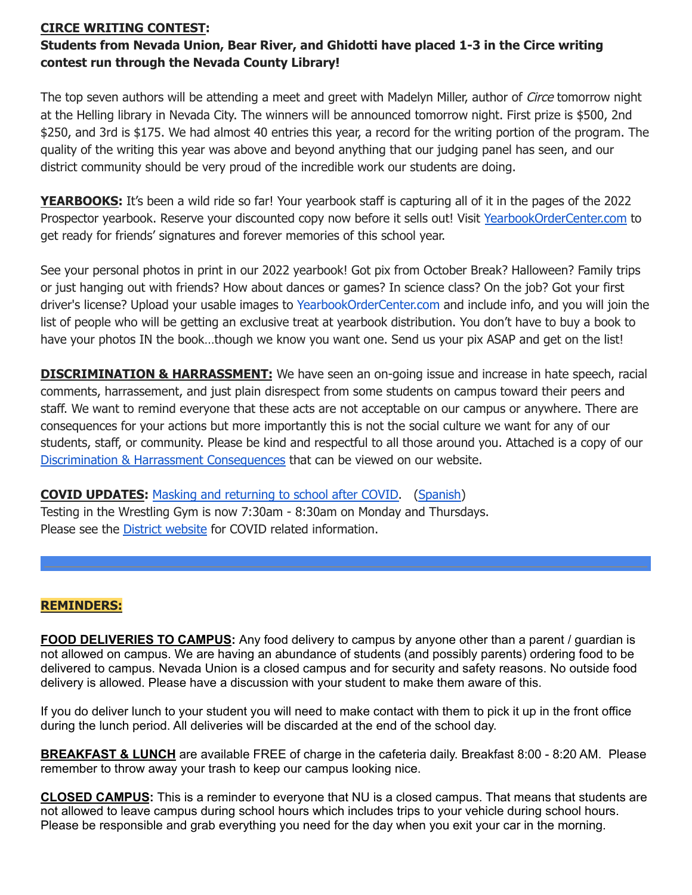#### **CIRCE WRITING CONTEST:**

# **Students from Nevada Union, Bear River, and Ghidotti have placed 1-3 in the Circe writing contest run through the Nevada County Library!**

The top seven authors will be attending a meet and greet with Madelyn Miller, author of *Circe* tomorrow night at the Helling library in Nevada City. The winners will be announced tomorrow night. First prize is \$500, 2nd \$250, and 3rd is \$175. We had almost 40 entries this year, a record for the writing portion of the program. The quality of the writing this year was above and beyond anything that our judging panel has seen, and our district community should be very proud of the incredible work our students are doing.

**YEARBOOKS:** It's been a wild ride so far! Your yearbook staff is capturing all of it in the pages of the 2022 Prospector yearbook. Reserve your discounted copy now before it sells out! Visit [YearbookOrderCenter.com](https://www.yearbookordercenter.com/jobSearch/displayHome) to get ready for friends' signatures and forever memories of this school year.

See your personal photos in print in our 2022 yearbook! Got pix from October Break? Halloween? Family trips or just hanging out with friends? How about dances or games? In science class? On the job? Got your first driver's license? Upload your usable images to [YearbookOrderCenter.com](https://www.yearbookordercenter.com/?event=general.displayLanding&jobnumber=14084) and include info, and you will join the list of people who will be getting an exclusive treat at yearbook distribution. You don't have to buy a book to have your photos IN the book…though we know you want one. Send us your pix ASAP and get on the list!

**DISCRIMINATION & HARRASSMENT:** We have seen an on-going issue and increase in hate speech, racial comments, harrassement, and just plain disrespect from some students on campus toward their peers and staff. We want to remind everyone that these acts are not acceptable on our campus or anywhere. There are consequences for your actions but more importantly this is not the social culture we want for any of our students, staff, or community. Please be kind and respectful to all those around you. Attached is a copy of our Discrimination & Harrassment [Consequences](https://nevadaunion.njuhsd.com/documents/Nevada%20Union%20HS/Information/School%20Policies/Consequence-Policy.pdf) that can be viewed on our website.

**COVID UPDATES:** Masking and [returning](https://www.njuhsd.com/documents/Masking-Update-3.12.22.pdf) to school after COVID. [\(Spanish](https://www.njuhsd.com/documents/Covid/Actualizacion-de-las-reglas-del-uso-de-cubrebocas-3.12.22.pdf)) Testing in the Wrestling Gym is now 7:30am - 8:30am on Monday and Thursdays. Please see the District [website](http://njuhsd.com) for COVID related information.

#### **REMINDERS:**

**FOOD DELIVERIES TO CAMPUS:** Any food delivery to campus by anyone other than a parent / guardian is not allowed on campus. We are having an abundance of students (and possibly parents) ordering food to be delivered to campus. Nevada Union is a closed campus and for security and safety reasons. No outside food delivery is allowed. Please have a discussion with your student to make them aware of this.

If you do deliver lunch to your student you will need to make contact with them to pick it up in the front office during the lunch period. All deliveries will be discarded at the end of the school day.

**BREAKFAST & LUNCH** are available FREE of charge in the cafeteria daily. Breakfast 8:00 - 8:20 AM. Please remember to throw away your trash to keep our campus looking nice.

**CLOSED CAMPUS:** This is a reminder to everyone that NU is a closed campus. That means that students are not allowed to leave campus during school hours which includes trips to your vehicle during school hours. Please be responsible and grab everything you need for the day when you exit your car in the morning.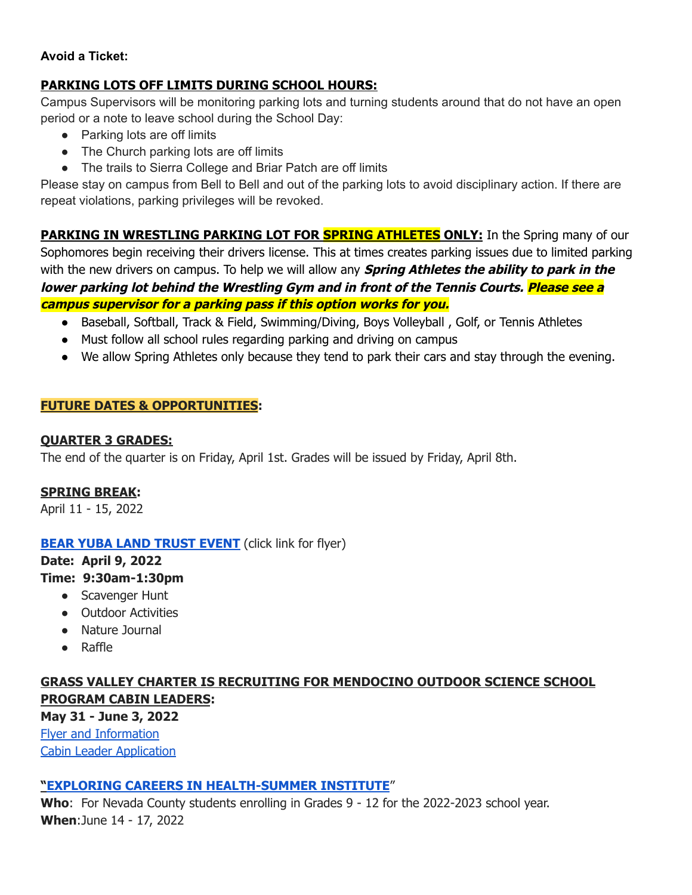#### **Avoid a Ticket:**

# **PARKING LOTS OFF LIMITS DURING SCHOOL HOURS:**

Campus Supervisors will be monitoring parking lots and turning students around that do not have an open period or a note to leave school during the School Day:

- Parking lots are off limits
- The Church parking lots are off limits
- The trails to Sierra College and Briar Patch are off limits

Please stay on campus from Bell to Bell and out of the parking lots to avoid disciplinary action. If there are repeat violations, parking privileges will be revoked.

**PARKING IN WRESTLING PARKING LOT FOR SPRING ATHLETES ONLY:** In the Spring many of our Sophomores begin receiving their drivers license. This at times creates parking issues due to limited parking with the new drivers on campus. To help we will allow any **Spring Athletes the ability to park in the lower parking lot behind the Wrestling Gym and in front of the Tennis Courts. Please see <sup>a</sup> campus supervisor for <sup>a</sup> parking pass if this option works for you.**

- Baseball, Softball, Track & Field, Swimming/Diving, Boys Volleyball, Golf, or Tennis Athletes
- Must follow all school rules regarding parking and driving on campus
- We allow Spring Athletes only because they tend to park their cars and stay through the evening.

#### **FUTURE DATES & OPPORTUNITIES:**

#### **QUARTER 3 GRADES:**

The end of the quarter is on Friday, April 1st. Grades will be issued by Friday, April 8th.

#### **SPRING BREAK:**

April 11 - 15, 2022

#### **BEAR YUBA LAND [TRUST](https://drive.google.com/file/d/1nls3SFoSVH3dV6AHEqbRTx7WuVuO5fxu/view?usp=sharing) EVENT** (click link for flyer)

#### **Date: April 9, 2022**

#### **Time: 9:30am-1:30pm**

- Scavenger Hunt
- Outdoor Activities
- Nature Journal
- Raffle

# **GRASS VALLEY CHARTER IS RECRUITING FOR MENDOCINO OUTDOOR SCIENCE SCHOOL PROGRAM CABIN LEADERS:**

**May 31 - June 3, 2022** Flyer and [Information](https://drive.google.com/file/d/1Myk3e4oi7FKtGT6e0DeP2Gl7uaF5mpi5/view?usp=sharing) Cabin Leader [Application](https://drive.google.com/file/d/1XBR_iNiixO7R7puvXCJkDse-gdj0OaLa/view?usp=sharing)

# **"EXPLORING CAREERS IN [HEALTH-SUMMER](https://drive.google.com/file/d/1xQnMOsfcrXUo2EUxly7iyWtWn160lTrU/view?usp=sharing) INSTITUTE**"

**Who**: For Nevada County students enrolling in Grades 9 - 12 for the 2022-2023 school year. **When**:June 14 - 17, 2022